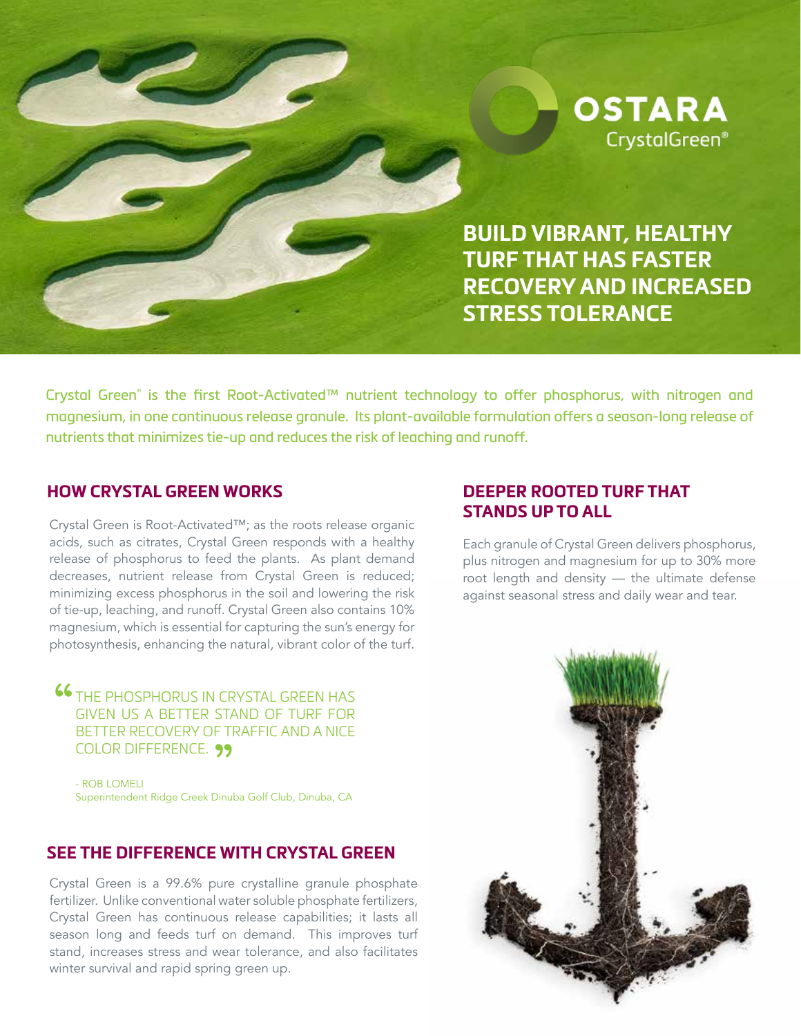

**BUILD VIBRANT, HEALTHY TURF THAT HAS FASTER RECOVERY AND INCREASED STRESS TOLERANCE**

Crystal Green® is the first Root-Activated™ nutrient technology to offer phosphorus, with nitrogen and magnesium, in one continuous release granule. Its plant-available formulation offers a season-long release of nutrients that minimizes tie-up and reduces the risk of leaching and runoff.

### **HOW CRYSTAL GREEN WORKS**

Crystal Green is Root-Activated™; as the roots release organic acids, such as citrates, Crystal Green responds with a healthy release of phosphorus to feed the plants. As plant demand decreases, nutrient release from Crystal Green is reduced; minimizing excess phosphorus in the soil and lowering the risk of tie-up, leaching, and runoff. Crystal Green also contains 10% magnesium, which is essential for capturing the sun's energy for photosynthesis, enhancing the natural, vibrant color of the turf.

**46** THE PHOSPHORUS IN CRYSTAL GREEN HAS GIVEN US A BETTER STAND OF TURF FOR " COLOR DIFFERENCE. GIVEN US A BETTER STAND OF TURF FOR BETTER RECOVERY OF TRAFFIC AND A NICE

- ROB LOMELI Superintendent Ridge Creek Dinuba Golf Club, Dinuba, CA

### **SEE THE DIFFERENCE WITH CRYSTAL GREEN**

Crystal Green is a 99.6% pure crystalline granule phosphate fertilizer. Unlike conventional water soluble phosphate fertilizers, Crystal Green has continuous release capabilities; it lasts all season long and feeds turf on demand. This improves turf stand, increases stress and wear tolerance, and also facilitates winter survival and rapid spring green up.

## **DEEPER ROOTED TURF THAT STANDS UP TO ALL**

Each granule of Crystal Green delivers phosphorus, plus nitrogen and magnesium for up to 30% more root length and density — the ultimate defense against seasonal stress and daily wear and tear.